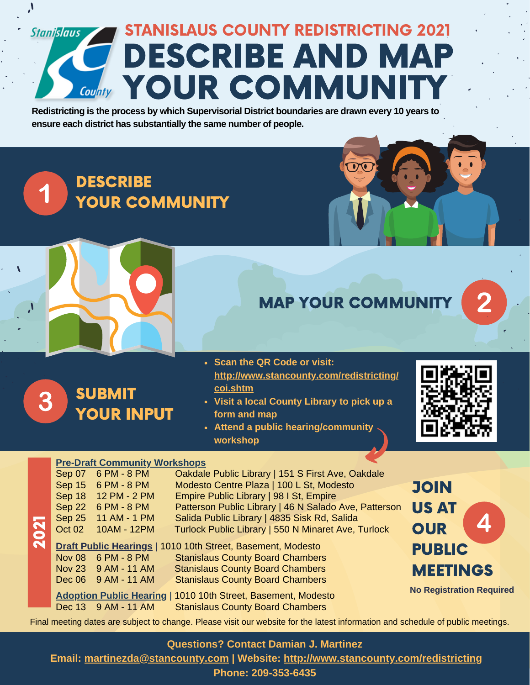## STANISLAUS COUNTY REDISTRICTING 2021 **Stanislaus** DESCRIBE AND MAP **County YOUR COMMUNITY**

**Redistricting is the process by which Supervisorial District boundaries are drawn every 10 years to ensure each district has substantially the same number of people.**

**DESCRIBE** YOUR COMMUNITY



### MAP YOUR COMMUNITY

 $\overline{\odot}$ 

#### SUBMIT 3 YOUR INPUT

 $\mathbf{J}$ 

1

- **Scan the QR Code or visit: [http://www.stancounty.com/redistricting/](http://www.stancounty.com/redistricting/coi.shtm) coi.shtm**
- **Visit a local County Library to pick up a form and map**
- **Attend a public hearing/community workshop**



#### **Pre-Draft Community Workshops**

|                      | <u>110 Drum Community, incriteine per</u> |                     |                                                                    |           |
|----------------------|-------------------------------------------|---------------------|--------------------------------------------------------------------|-----------|
|                      | Sep 07                                    | 6 PM - 8 PM         | Oakdale Public Library   151 S First Ave, Oakdale                  |           |
|                      |                                           | Sep 15 6 PM - 8 PM  | Modesto Centre Plaza   100 L St, Modesto                           |           |
|                      | Sep 18                                    | 12 PM - 2 PM        | Empire Public Library   98 I St, Empire                            |           |
|                      |                                           | Sep 22 6 PM - 8 PM  | Patterson Public Library   46 N Salado Ave, Patterson              | IJ        |
|                      |                                           | Sep 25 11 AM - 1 PM | Salida Public Library   4835 Sisk Rd, Salida                       |           |
| <b>D21</b>           | Oct 02                                    | 10AM - 12PM         | Turlock Public Library   550 N Minaret Ave, Turlock                | C         |
| $\breve{\mathbf{N}}$ |                                           |                     |                                                                    |           |
|                      |                                           |                     | <b>Draft Public Hearings   1010 10th Street, Basement, Modesto</b> | P         |
|                      |                                           | Nov 08 6 PM - 8 PM  | <b>Stanislaus County Board Chambers</b>                            |           |
|                      |                                           | Nov 23 9 AM - 11 AM | <b>Stanislaus County Board Chambers</b>                            | N         |
|                      |                                           | Dec 06 9 AM - 11 AM | <b>Stanislaus County Board Chambers</b>                            |           |
|                      |                                           |                     |                                                                    | <b>No</b> |
|                      |                                           |                     | Adoption Public Hearing   1010 10th Street, Basement, Modesto      |           |
|                      |                                           | Dec 13 9 AM - 11 AM | <b>Stanislaus County Board Chambers</b>                            |           |
|                      |                                           |                     |                                                                    |           |

**OIN** US AT  $\boldsymbol{\varDelta}$ **OUR UBLIC AEETINGS** 

**No Registration Required**

Final meeting dates are subject to change. Please visit our website for the latest information and schedule of public meetings.

#### **Questions? Contact Damian J. Martinez**

**Email: [martinezda@stancounty.com](mailto:martinezda@stancounty.com) | Website: <http://www.stancounty.com/redistricting>**

**Phone: 209-353-6435**